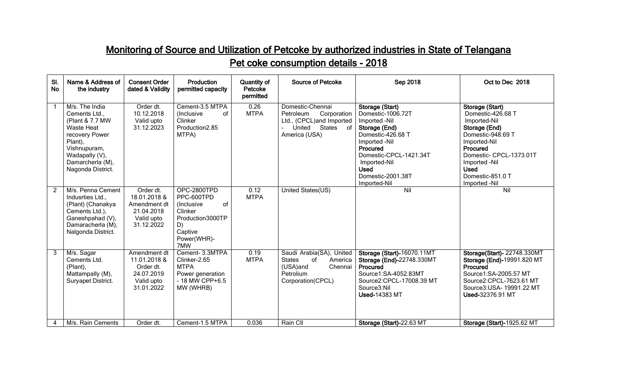## Monitoring of Source and Utilization of Petcoke by authorized industries in State of Telangana Pet coke consumption details - 2018

| SI.<br><b>No</b> | Name & Address of<br>the industry                                                                                                                                               | <b>Consent Order</b><br>dated & Validity                                            | Production<br>permitted capacity                                                                                    | <b>Quantity of</b><br>Petcoke<br>permitted | <b>Source of Petcoke</b>                                                                                                       | <b>Sep 2018</b>                                                                                                                                                                                                        | Oct to Dec 2018                                                                                                                                                                                                        |
|------------------|---------------------------------------------------------------------------------------------------------------------------------------------------------------------------------|-------------------------------------------------------------------------------------|---------------------------------------------------------------------------------------------------------------------|--------------------------------------------|--------------------------------------------------------------------------------------------------------------------------------|------------------------------------------------------------------------------------------------------------------------------------------------------------------------------------------------------------------------|------------------------------------------------------------------------------------------------------------------------------------------------------------------------------------------------------------------------|
|                  | M/s. The India<br>Cements Ltd.,<br>(Plant & 7.7 MW<br><b>Waste Heat</b><br>recovery Power<br>Plant),<br>Vishnupuram,<br>Wadapally (V),<br>Damarcherla (M),<br>Nagonda District. | Order dt.<br>10.12.2018<br>Valid upto<br>31.12.2023                                 | Cement-3.5 MTPA<br>(Inclusive<br>Ωf<br>Clinker<br>Production2.85<br>MTPA)                                           | 0.26<br><b>MTPA</b>                        | Domestic-Chennai<br>Corporation<br>Petroleum<br>Ltd., (CPCL)and Imported<br>United States<br>് റ<br>America (USA)              | Storage (Start)<br>Domestic-1006.72T<br>Imported -Nil<br>Storage (End)<br>Domestic-426.68 T<br>Imported -Nil<br>Procured<br>Domestic-CPCL-1421.34T<br>Imported-Nil<br><b>Used</b><br>Domestic-2001.38T<br>Imported-Nil | Storage (Start)<br>Domestic-426.68 T<br>Imported-Nil<br>Storage (End)<br>Domestic-948.69 T<br>Imported-Nil<br>Procured<br>Domestic- CPCL-1373.01T<br>Imported -Nil<br><b>Used</b><br>Domestic-851.0 T<br>Imported -Nil |
| 2                | M/s. Penna Cement<br>Indusrties Ltd.,<br>(Plant) (Chanakya<br>Cements Ltd.),<br>Ganeshpahad (V),<br>Damaracherla (M),<br>Nalgonda District.                                     | Order dt.<br>18.01.2018 &<br>Amendment dt<br>21.04.2018<br>Valid upto<br>31.12.2022 | OPC-2800TPD<br>PPC-600TPD<br>of<br>(Inclusive<br>Clinker<br>Production3000TP<br>D)<br>Captive<br>Power(WHR)-<br>7MW | 0.12<br><b>MTPA</b>                        | United States(US)                                                                                                              | Nil                                                                                                                                                                                                                    | $\overline{N}$                                                                                                                                                                                                         |
| 3                | M/s. Sagar<br>Cements Ltd.<br>(Plant),<br>Mattampally (M),<br>Suryapet District.                                                                                                | Amendment dt<br>11.01.2018 &<br>Order dt.<br>24.07.2019<br>Valid upto<br>31.01.2022 | Cement- 3.3MTPA<br>Clinker-2.65<br><b>MTPA</b><br>Power generation<br>- 18 MW CPP+6.5<br>MW (WHRB)                  | 0.19<br><b>MTPA</b>                        | Saudi Arabia(SA), United<br><b>States</b><br><sub>of</sub><br>America<br>(USA)and<br>Chennai<br>Petrolium<br>Corporation(CPCL) | Storage (Start)-16070.11MT<br>Storage (End)-22748.330MT<br>Procured<br>Source1:SA-4052.83MT<br>Source2:CPCL-17008.39 MT<br>Source3:Nil<br><b>Used-14383 MT</b>                                                         | Storage(Start)- 22748.330MT<br>Storage (End)-19991.820 MT<br>Procured<br>Source1:SA-2005.57 MT<br>Source2:CPCL-7623.61 MT<br>Source3: USA- 19991.22 MT<br>Used-32376.91 MT                                             |
| 4                | M/s. Rain Cements                                                                                                                                                               | Order dt.                                                                           | Cement-1.5 MTPA                                                                                                     | 0.036                                      | Rain Cll                                                                                                                       | Storage (Start)-22.63 MT                                                                                                                                                                                               | Storage (Start)-1925.62 MT                                                                                                                                                                                             |